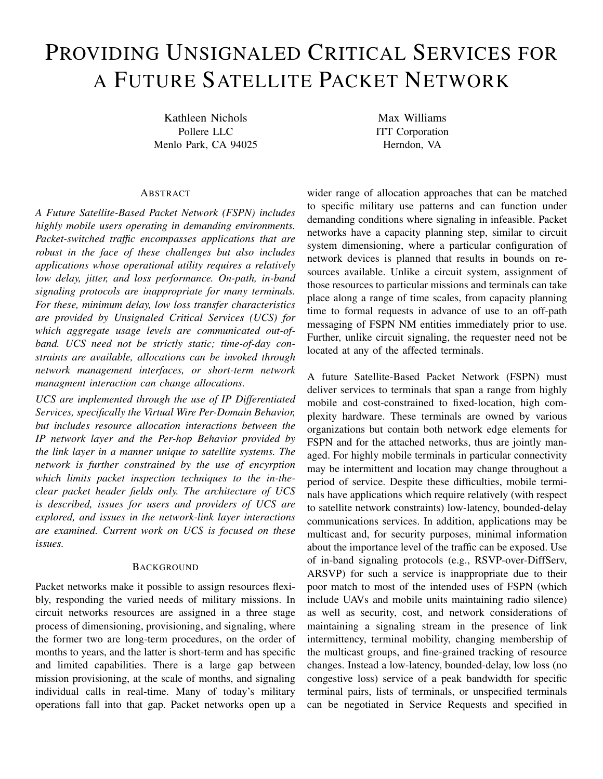# PROVIDING UNSIGNALED CRITICAL SERVICES FOR A FUTURE SATELLITE PACKET NETWORK

Kathleen Nichols Pollere LLC Menlo Park, CA 94025

Max Williams ITT Corporation Herndon, VA

### ABSTRACT

*A Future Satellite-Based Packet Network (FSPN) includes highly mobile users operating in demanding environments. Packet-switched traffic encompasses applications that are robust in the face of these challenges but also includes applications whose operational utility requires a relatively low delay, jitter, and loss performance. On-path, in-band signaling protocols are inappropriate for many terminals. For these, minimum delay, low loss transfer characteristics are provided by Unsignaled Critical Services (UCS) for which aggregate usage levels are communicated out-ofband. UCS need not be strictly static; time-of-day constraints are available, allocations can be invoked through network management interfaces, or short-term network managment interaction can change allocations.*

*UCS are implemented through the use of IP Differentiated Services, specifically the Virtual Wire Per-Domain Behavior, but includes resource allocation interactions between the IP network layer and the Per-hop Behavior provided by the link layer in a manner unique to satellite systems. The network is further constrained by the use of encyrption which limits packet inspection techniques to the in-theclear packet header fields only. The architecture of UCS is described, issues for users and providers of UCS are explored, and issues in the network-link layer interactions are examined. Current work on UCS is focused on these issues.*

#### **BACKGROUND**

Packet networks make it possible to assign resources flexibly, responding the varied needs of military missions. In circuit networks resources are assigned in a three stage process of dimensioning, provisioning, and signaling, where the former two are long-term procedures, on the order of months to years, and the latter is short-term and has specific and limited capabilities. There is a large gap between mission provisioning, at the scale of months, and signaling individual calls in real-time. Many of today's military operations fall into that gap. Packet networks open up a

wider range of allocation approaches that can be matched to specific military use patterns and can function under demanding conditions where signaling in infeasible. Packet networks have a capacity planning step, similar to circuit system dimensioning, where a particular configuration of network devices is planned that results in bounds on resources available. Unlike a circuit system, assignment of those resources to particular missions and terminals can take place along a range of time scales, from capacity planning time to formal requests in advance of use to an off-path messaging of FSPN NM entities immediately prior to use. Further, unlike circuit signaling, the requester need not be located at any of the affected terminals.

A future Satellite-Based Packet Network (FSPN) must deliver services to terminals that span a range from highly mobile and cost-constrained to fixed-location, high complexity hardware. These terminals are owned by various organizations but contain both network edge elements for FSPN and for the attached networks, thus are jointly managed. For highly mobile terminals in particular connectivity may be intermittent and location may change throughout a period of service. Despite these difficulties, mobile terminals have applications which require relatively (with respect to satellite network constraints) low-latency, bounded-delay communications services. In addition, applications may be multicast and, for security purposes, minimal information about the importance level of the traffic can be exposed. Use of in-band signaling protocols (e.g., RSVP-over-DiffServ, ARSVP) for such a service is inappropriate due to their poor match to most of the intended uses of FSPN (which include UAVs and mobile units maintaining radio silence) as well as security, cost, and network considerations of maintaining a signaling stream in the presence of link intermittency, terminal mobility, changing membership of the multicast groups, and fine-grained tracking of resource changes. Instead a low-latency, bounded-delay, low loss (no congestive loss) service of a peak bandwidth for specific terminal pairs, lists of terminals, or unspecified terminals can be negotiated in Service Requests and specified in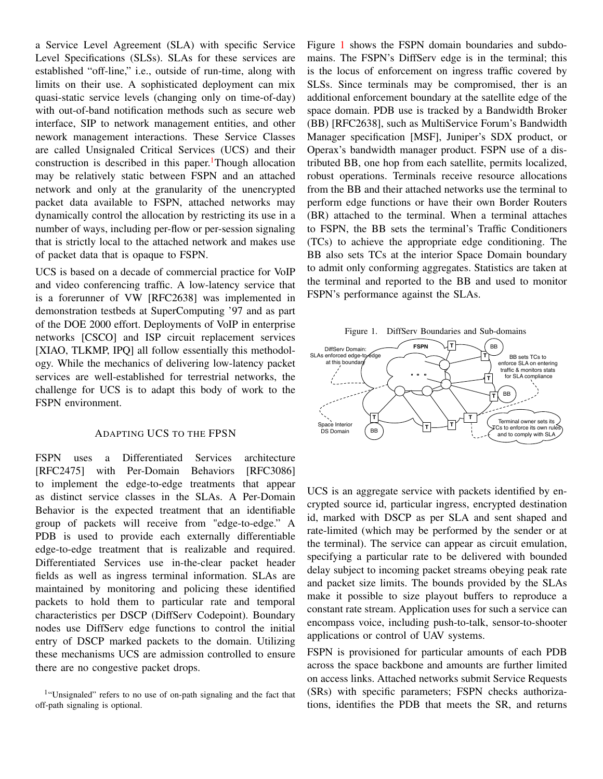a Service Level Agreement (SLA) with specific Service Level Specifications (SLSs). SLAs for these services are established "off-line," i.e., outside of run-time, along with limits on their use. A sophisticated deployment can mix quasi-static service levels (changing only on time-of-day) with out-of-band notification methods such as secure web interface, SIP to network management entities, and other nework management interactions. These Service Classes are called Unsignaled Critical Services (UCS) and their construction is described in this paper.<sup>[1](#page-1-0)</sup>Though allocation may be relatively static between FSPN and an attached network and only at the granularity of the unencrypted packet data available to FSPN, attached networks may dynamically control the allocation by restricting its use in a number of ways, including per-flow or per-session signaling that is strictly local to the attached network and makes use of packet data that is opaque to FSPN.

UCS is based on a decade of commercial practice for VoIP and video conferencing traffic. A low-latency service that is a forerunner of VW [RFC2638] was implemented in demonstration testbeds at SuperComputing '97 and as part of the DOE 2000 effort. Deployments of VoIP in enterprise networks [CSCO] and ISP circuit replacement services [XIAO, TLKMP, IPQ] all follow essentially this methodology. While the mechanics of delivering low-latency packet services are well-established for terrestrial networks, the challenge for UCS is to adapt this body of work to the FSPN environment.

#### ADAPTING UCS TO THE FPSN

FSPN uses a Differentiated Services architecture [RFC2475] with Per-Domain Behaviors [RFC3086] to implement the edge-to-edge treatments that appear as distinct service classes in the SLAs. A Per-Domain Behavior is the expected treatment that an identifiable group of packets will receive from "edge-to-edge." A PDB is used to provide each externally differentiable edge-to-edge treatment that is realizable and required. Differentiated Services use in-the-clear packet header fields as well as ingress terminal information. SLAs are maintained by monitoring and policing these identified packets to hold them to particular rate and temporal characteristics per DSCP (DiffServ Codepoint). Boundary nodes use DiffServ edge functions to control the initial entry of DSCP marked packets to the domain. Utilizing these mechanisms UCS are admission controlled to ensure there are no congestive packet drops.

Figure [1](#page-1-1) shows the FSPN domain boundaries and subdomains. The FSPN's DiffServ edge is in the terminal; this is the locus of enforcement on ingress traffic covered by SLSs. Since terminals may be compromised, ther is an additional enforcement boundary at the satellite edge of the space domain. PDB use is tracked by a Bandwidth Broker (BB) [RFC2638], such as MultiService Forum's Bandwidth Manager specification [MSF], Juniper's SDX product, or Operax's bandwidth manager product. FSPN use of a distributed BB, one hop from each satellite, permits localized, robust operations. Terminals receive resource allocations from the BB and their attached networks use the terminal to perform edge functions or have their own Border Routers (BR) attached to the terminal. When a terminal attaches to FSPN, the BB sets the terminal's Traffic Conditioners (TCs) to achieve the appropriate edge conditioning. The BB also sets TCs at the interior Space Domain boundary to admit only conforming aggregates. Statistics are taken at the terminal and reported to the BB and used to monitor FSPN's performance against the SLAs.

<span id="page-1-1"></span>



UCS is an aggregate service with packets identified by encrypted source id, particular ingress, encrypted destination id, marked with DSCP as per SLA and sent shaped and rate-limited (which may be performed by the sender or at the terminal). The service can appear as circuit emulation, specifying a particular rate to be delivered with bounded delay subject to incoming packet streams obeying peak rate and packet size limits. The bounds provided by the SLAs make it possible to size playout buffers to reproduce a constant rate stream. Application uses for such a service can encompass voice, including push-to-talk, sensor-to-shooter applications or control of UAV systems.

FSPN is provisioned for particular amounts of each PDB across the space backbone and amounts are further limited on access links. Attached networks submit Service Requests (SRs) with specific parameters; FSPN checks authorizations, identifies the PDB that meets the SR, and returns

<span id="page-1-0"></span><sup>&</sup>lt;sup>1</sup>"Unsignaled" refers to no use of on-path signaling and the fact that off-path signaling is optional.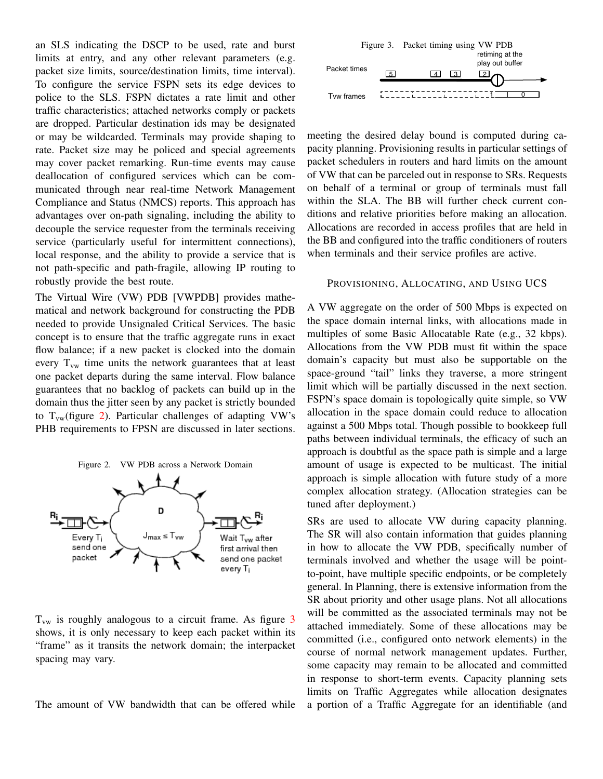an SLS indicating the DSCP to be used, rate and burst limits at entry, and any other relevant parameters (e.g. packet size limits, source/destination limits, time interval). To configure the service FSPN sets its edge devices to police to the SLS. FSPN dictates a rate limit and other traffic characteristics; attached networks comply or packets are dropped. Particular destination ids may be designated or may be wildcarded. Terminals may provide shaping to rate. Packet size may be policed and special agreements may cover packet remarking. Run-time events may cause deallocation of configured services which can be communicated through near real-time Network Management Compliance and Status (NMCS) reports. This approach has advantages over on-path signaling, including the ability to decouple the service requester from the terminals receiving service (particularly useful for intermittent connections), local response, and the ability to provide a service that is not path-specific and path-fragile, allowing IP routing to robustly provide the best route.

The Virtual Wire (VW) PDB [VWPDB] provides mathematical and network background for constructing the PDB needed to provide Unsignaled Critical Services. The basic concept is to ensure that the traffic aggregate runs in exact flow balance; if a new packet is clocked into the domain every  $T_{vw}$  time units the network guarantees that at least one packet departs during the same interval. Flow balance guarantees that no backlog of packets can build up in the domain thus the jitter seen by any packet is strictly bounded to  $T_{vw}$ (figure [2\)](#page-2-0). Particular challenges of adapting VW's PHB requirements to FPSN are discussed in later sections.

<span id="page-2-0"></span>



 $T_{vw}$  is roughly analogous to a circuit frame. As figure  $3$ shows, it is only necessary to keep each packet within its "frame" as it transits the network domain; the interpacket spacing may vary.

The amount of VW bandwidth that can be offered while

<span id="page-2-1"></span>

meeting the desired delay bound is computed during capacity planning. Provisioning results in particular settings of packet schedulers in routers and hard limits on the amount of VW that can be parceled out in response to SRs. Requests on behalf of a terminal or group of terminals must fall within the SLA. The BB will further check current conditions and relative priorities before making an allocation. Allocations are recorded in access profiles that are held in the BB and configured into the traffic conditioners of routers when terminals and their service profiles are active.

#### PROVISIONING, ALLOCATING, AND USING UCS

A VW aggregate on the order of 500 Mbps is expected on the space domain internal links, with allocations made in multiples of some Basic Allocatable Rate (e.g., 32 kbps). Allocations from the VW PDB must fit within the space domain's capacity but must also be supportable on the space-ground "tail" links they traverse, a more stringent limit which will be partially discussed in the next section. FSPN's space domain is topologically quite simple, so VW allocation in the space domain could reduce to allocation against a 500 Mbps total. Though possible to bookkeep full paths between individual terminals, the efficacy of such an approach is doubtful as the space path is simple and a large amount of usage is expected to be multicast. The initial approach is simple allocation with future study of a more complex allocation strategy. (Allocation strategies can be tuned after deployment.)

SRs are used to allocate VW during capacity planning. The SR will also contain information that guides planning in how to allocate the VW PDB, specifically number of terminals involved and whether the usage will be pointto-point, have multiple specific endpoints, or be completely general. In Planning, there is extensive information from the SR about priority and other usage plans. Not all allocations will be committed as the associated terminals may not be attached immediately. Some of these allocations may be committed (i.e., configured onto network elements) in the course of normal network management updates. Further, some capacity may remain to be allocated and committed in response to short-term events. Capacity planning sets limits on Traffic Aggregates while allocation designates a portion of a Traffic Aggregate for an identifiable (and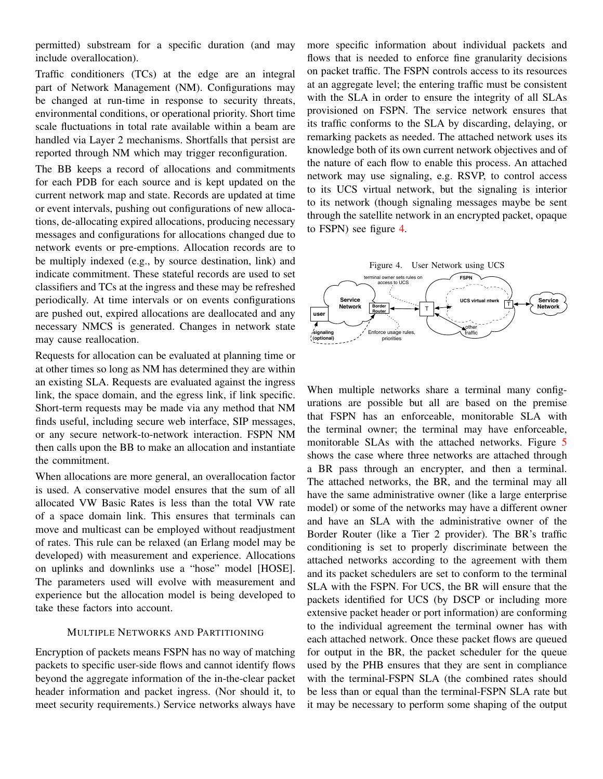permitted) substream for a specific duration (and may include overallocation).

Traffic conditioners (TCs) at the edge are an integral part of Network Management (NM). Configurations may be changed at run-time in response to security threats, environmental conditions, or operational priority. Short time scale fluctuations in total rate available within a beam are handled via Layer 2 mechanisms. Shortfalls that persist are reported through NM which may trigger reconfiguration.

The BB keeps a record of allocations and commitments for each PDB for each source and is kept updated on the current network map and state. Records are updated at time or event intervals, pushing out configurations of new allocations, de-allocating expired allocations, producing necessary messages and configurations for allocations changed due to network events or pre-emptions. Allocation records are to be multiply indexed (e.g., by source destination, link) and indicate commitment. These stateful records are used to set classifiers and TCs at the ingress and these may be refreshed periodically. At time intervals or on events configurations are pushed out, expired allocations are deallocated and any necessary NMCS is generated. Changes in network state may cause reallocation.

Requests for allocation can be evaluated at planning time or at other times so long as NM has determined they are within an existing SLA. Requests are evaluated against the ingress link, the space domain, and the egress link, if link specific. Short-term requests may be made via any method that NM finds useful, including secure web interface, SIP messages, or any secure network-to-network interaction. FSPN NM then calls upon the BB to make an allocation and instantiate the commitment.

When allocations are more general, an overallocation factor is used. A conservative model ensures that the sum of all allocated VW Basic Rates is less than the total VW rate of a space domain link. This ensures that terminals can move and multicast can be employed without readjustment of rates. This rule can be relaxed (an Erlang model may be developed) with measurement and experience. Allocations on uplinks and downlinks use a "hose" model [HOSE]. The parameters used will evolve with measurement and experience but the allocation model is being developed to take these factors into account.

# MULTIPLE NETWORKS AND PARTITIONING

Encryption of packets means FSPN has no way of matching packets to specific user-side flows and cannot identify flows beyond the aggregate information of the in-the-clear packet header information and packet ingress. (Nor should it, to meet security requirements.) Service networks always have

more specific information about individual packets and flows that is needed to enforce fine granularity decisions on packet traffic. The FSPN controls access to its resources at an aggregate level; the entering traffic must be consistent with the SLA in order to ensure the integrity of all SLAs provisioned on FSPN. The service network ensures that its traffic conforms to the SLA by discarding, delaying, or remarking packets as needed. The attached network uses its knowledge both of its own current network objectives and of the nature of each flow to enable this process. An attached network may use signaling, e.g. RSVP, to control access to its UCS virtual network, but the signaling is interior to its network (though signaling messages maybe be sent through the satellite network in an encrypted packet, opaque to FSPN) see figure [4.](#page-3-0)

<span id="page-3-0"></span>

When multiple networks share a terminal many configurations are possible but all are based on the premise that FSPN has an enforceable, monitorable SLA with the terminal owner; the terminal may have enforceable, monitorable SLAs with the attached networks. Figure [5](#page-4-0) shows the case where three networks are attached through a BR pass through an encrypter, and then a terminal. The attached networks, the BR, and the terminal may all have the same administrative owner (like a large enterprise model) or some of the networks may have a different owner and have an SLA with the administrative owner of the Border Router (like a Tier 2 provider). The BR's traffic conditioning is set to properly discriminate between the attached networks according to the agreement with them and its packet schedulers are set to conform to the terminal SLA with the FSPN. For UCS, the BR will ensure that the packets identified for UCS (by DSCP or including more extensive packet header or port information) are conforming to the individual agreement the terminal owner has with each attached network. Once these packet flows are queued for output in the BR, the packet scheduler for the queue used by the PHB ensures that they are sent in compliance with the terminal-FSPN SLA (the combined rates should be less than or equal than the terminal-FSPN SLA rate but it may be necessary to perform some shaping of the output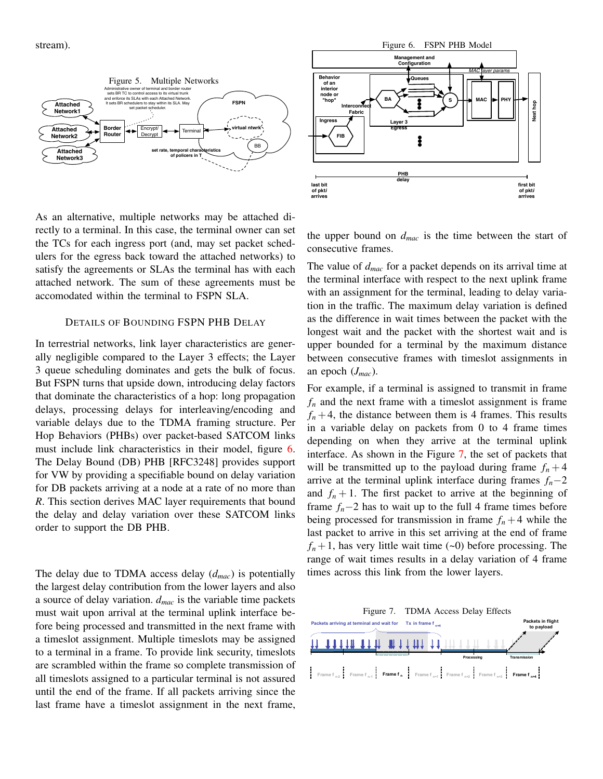<span id="page-4-0"></span>stream).



<span id="page-4-1"></span>

As an alternative, multiple networks may be attached directly to a terminal. In this case, the terminal owner can set the TCs for each ingress port (and, may set packet schedulers for the egress back toward the attached networks) to satisfy the agreements or SLAs the terminal has with each attached network. The sum of these agreements must be accomodated within the terminal to FSPN SLA.

#### DETAILS OF BOUNDING FSPN PHB DELAY

In terrestrial networks, link layer characteristics are generally negligible compared to the Layer 3 effects; the Layer 3 queue scheduling dominates and gets the bulk of focus. But FSPN turns that upside down, introducing delay factors that dominate the characteristics of a hop: long propagation delays, processing delays for interleaving/encoding and variable delays due to the TDMA framing structure. Per Hop Behaviors (PHBs) over packet-based SATCOM links must include link characteristics in their model, figure [6.](#page-4-1) The Delay Bound (DB) PHB [RFC3248] provides support for VW by providing a specifiable bound on delay variation for DB packets arriving at a node at a rate of no more than *R*. This section derives MAC layer requirements that bound the delay and delay variation over these SATCOM links order to support the DB PHB.

The delay due to TDMA access delay (*dmac*) is potentially the largest delay contribution from the lower layers and also a source of delay variation. *dmac* is the variable time packets must wait upon arrival at the terminal uplink interface before being processed and transmitted in the next frame with a timeslot assignment. Multiple timeslots may be assigned to a terminal in a frame. To provide link security, timeslots are scrambled within the frame so complete transmission of all timeslots assigned to a particular terminal is not assured until the end of the frame. If all packets arriving since the last frame have a timeslot assignment in the next frame, the upper bound on *dmac* is the time between the start of consecutive frames.

The value of *dmac* for a packet depends on its arrival time at the terminal interface with respect to the next uplink frame with an assignment for the terminal, leading to delay variation in the traffic. The maximum delay variation is defined as the difference in wait times between the packet with the longest wait and the packet with the shortest wait and is upper bounded for a terminal by the maximum distance between consecutive frames with timeslot assignments in an epoch (*Jmac*).

For example, if a terminal is assigned to transmit in frame  $f_n$  and the next frame with a timeslot assignment is frame  $f_n + 4$ , the distance between them is 4 frames. This results in a variable delay on packets from 0 to 4 frame times depending on when they arrive at the terminal uplink interface. As shown in the Figure [7,](#page-4-2) the set of packets that will be transmitted up to the payload during frame  $f_n + 4$ arrive at the terminal uplink interface during frames *fn*−2 and  $f_n + 1$ . The first packet to arrive at the beginning of frame *fn*−2 has to wait up to the full 4 frame times before being processed for transmission in frame  $f_n + 4$  while the last packet to arrive in this set arriving at the end of frame  $f_n + 1$ , has very little wait time  $(\sim 0)$  before processing. The range of wait times results in a delay variation of 4 frame times across this link from the lower layers.

<span id="page-4-2"></span>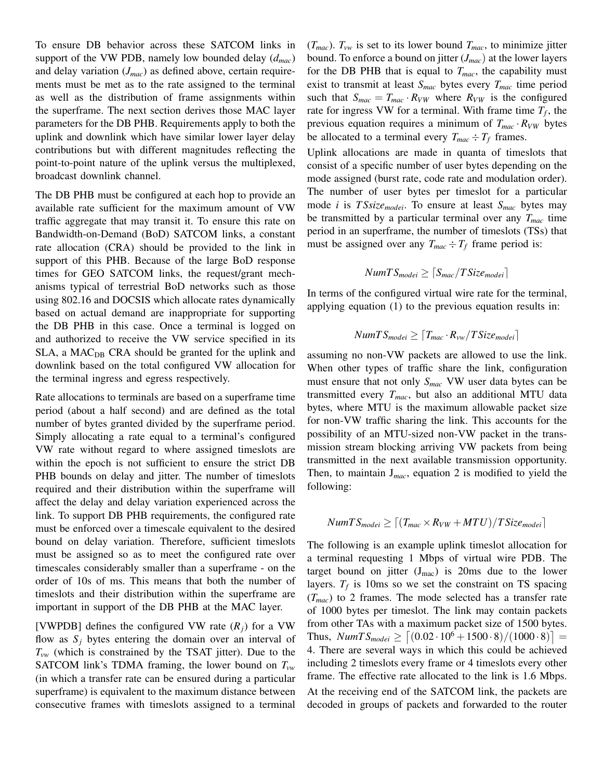To ensure DB behavior across these SATCOM links in support of the VW PDB, namely low bounded delay (*dmac*) and delay variation (*Jmac*) as defined above, certain requirements must be met as to the rate assigned to the terminal as well as the distribution of frame assignments within the superframe. The next section derives those MAC layer parameters for the DB PHB. Requirements apply to both the uplink and downlink which have similar lower layer delay contributions but with different magnitudes reflecting the point-to-point nature of the uplink versus the multiplexed, broadcast downlink channel.

The DB PHB must be configured at each hop to provide an available rate sufficient for the maximum amount of VW traffic aggregate that may transit it. To ensure this rate on Bandwidth-on-Demand (BoD) SATCOM links, a constant rate allocation (CRA) should be provided to the link in support of this PHB. Because of the large BoD response times for GEO SATCOM links, the request/grant mechanisms typical of terrestrial BoD networks such as those using 802.16 and DOCSIS which allocate rates dynamically based on actual demand are inappropriate for supporting the DB PHB in this case. Once a terminal is logged on and authorized to receive the VW service specified in its  $SLA$ , a  $MAC<sub>DB</sub> CRA$  should be granted for the uplink and downlink based on the total configured VW allocation for the terminal ingress and egress respectively.

Rate allocations to terminals are based on a superframe time period (about a half second) and are defined as the total number of bytes granted divided by the superframe period. Simply allocating a rate equal to a terminal's configured VW rate without regard to where assigned timeslots are within the epoch is not sufficient to ensure the strict DB PHB bounds on delay and jitter. The number of timeslots required and their distribution within the superframe will affect the delay and delay variation experienced across the link. To support DB PHB requirements, the configured rate must be enforced over a timescale equivalent to the desired bound on delay variation. Therefore, sufficient timeslots must be assigned so as to meet the configured rate over timescales considerably smaller than a superframe - on the order of 10s of ms. This means that both the number of timeslots and their distribution within the superframe are important in support of the DB PHB at the MAC layer.

[VWPDB] defines the configured VW rate  $(R_i)$  for a VW flow as  $S_i$  bytes entering the domain over an interval of  $T_{vw}$  (which is constrained by the TSAT jitter). Due to the SATCOM link's TDMA framing, the lower bound on *Tvw* (in which a transfer rate can be ensured during a particular superframe) is equivalent to the maximum distance between consecutive frames with timeslots assigned to a terminal  $(T_{mac})$ .  $T_{vw}$  is set to its lower bound  $T_{mac}$ , to minimize jitter bound. To enforce a bound on jitter (*Jmac*) at the lower layers for the DB PHB that is equal to *Tmac*, the capability must exist to transmit at least  $S_{mac}$  bytes every  $T_{mac}$  time period such that  $S_{mac} = T_{mac} \cdot R_{VW}$  where  $R_{VW}$  is the configured rate for ingress VW for a terminal. With frame time  $T_f$ , the previous equation requires a minimum of  $T_{mac} \cdot R_{VW}$  bytes be allocated to a terminal every  $T_{mac} \div T_f$  frames.

Uplink allocations are made in quanta of timeslots that consist of a specific number of user bytes depending on the mode assigned (burst rate, code rate and modulation order). The number of user bytes per timeslot for a particular mode *i* is *T Ssizemodei*. To ensure at least *Smac* bytes may be transmitted by a particular terminal over any *Tmac* time period in an superframe, the number of timeslots (TSs) that must be assigned over any  $T_{mac} \div T_f$  frame period is:

$$
NumTS_{model} \geq \lceil S_{mac}/TSize_{model} \rceil
$$

In terms of the configured virtual wire rate for the terminal, applying equation (1) to the previous equation results in:

$$
NumTS_{modei} \geq \lceil T_{mac} \cdot R_{vw} / TSize_{modei} \rceil
$$

assuming no non-VW packets are allowed to use the link. When other types of traffic share the link, configuration must ensure that not only *Smac* VW user data bytes can be transmitted every *Tmac*, but also an additional MTU data bytes, where MTU is the maximum allowable packet size for non-VW traffic sharing the link. This accounts for the possibility of an MTU-sized non-VW packet in the transmission stream blocking arriving VW packets from being transmitted in the next available transmission opportunity. Then, to maintain J*mac*, equation 2 is modified to yield the following:

$$
NumTS_{model} \geq \lceil (T_{mac} \times R_{VW} + MTU)/TSize_{model} \rceil
$$

The following is an example uplink timeslot allocation for a terminal requesting 1 Mbps of virtual wire PDB. The target bound on jitter  $(J_{\text{mac}})$  is 20ms due to the lower layers.  $T_f$  is 10ms so we set the constraint on TS spacing (*Tmac*) to 2 frames. The mode selected has a transfer rate of 1000 bytes per timeslot. The link may contain packets from other TAs with a maximum packet size of 1500 bytes. Thus,  $NumTS_{model} \geq \left[ (0.02 \cdot 10^6 + 1500 \cdot 8) / (1000 \cdot 8) \right] =$ 4. There are several ways in which this could be achieved including 2 timeslots every frame or 4 timeslots every other frame. The effective rate allocated to the link is 1.6 Mbps. At the receiving end of the SATCOM link, the packets are decoded in groups of packets and forwarded to the router